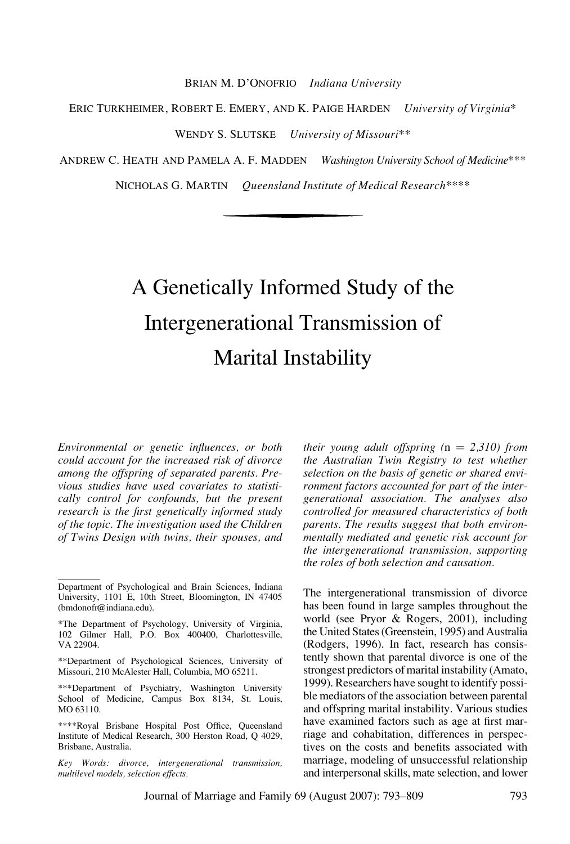BRIAN M. D'ONOFRIO Indiana University

ERIC TURKHEIMER, ROBERT E. EMERY, AND K. PAIGE HARDEN University of Virginia\* WENDY S. SLUTSKE University of Missouri\*\*

ANDREW C. HEATH AND PAMELA A. F. MADDEN Washington University School of Medicine\*\*\*

NICHOLAS G. MARTIN Queensland Institute of Medical Research\*\*\*\*

# A Genetically Informed Study of the Intergenerational Transmission of Marital Instability

Environmental or genetic influences, or both could account for the increased risk of divorce among the offspring of separated parents. Previous studies have used covariates to statistically control for confounds, but the present research is the first genetically informed study of the topic. The investigation used the Children of Twins Design with twins, their spouses, and

- \*\*Department of Psychological Sciences, University of Missouri, 210 McAlester Hall, Columbia, MO 65211.
- \*\*\*Department of Psychiatry, Washington University School of Medicine, Campus Box 8134, St. Louis, MO 63110.
- \*\*\*\*Royal Brisbane Hospital Post Office, Queensland Institute of Medical Research, 300 Herston Road, Q 4029, Brisbane, Australia.

Key Words: divorce, intergenerational transmission, multilevel models, selection effects.

their young adult offspring  $(n = 2,310)$  from the Australian Twin Registry to test whether selection on the basis of genetic or shared environment factors accounted for part of the intergenerational association. The analyses also controlled for measured characteristics of both parents. The results suggest that both environmentally mediated and genetic risk account for the intergenerational transmission, supporting the roles of both selection and causation.

The intergenerational transmission of divorce has been found in large samples throughout the world (see Pryor & Rogers, 2001), including the United States (Greenstein, 1995) and Australia (Rodgers, 1996). In fact, research has consistently shown that parental divorce is one of the strongest predictors of marital instability (Amato, 1999). Researchers have sought to identify possible mediators of the association between parental and offspring marital instability. Various studies have examined factors such as age at first marriage and cohabitation, differences in perspectives on the costs and benefits associated with marriage, modeling of unsuccessful relationship and interpersonal skills, mate selection, and lower

Department of Psychological and Brain Sciences, Indiana University, 1101 E, 10th Street, Bloomington, IN 47405 (bmdonofr@indiana.edu).

<sup>\*</sup>The Department of Psychology, University of Virginia, 102 Gilmer Hall, P.O. Box 400400, Charlottesville, VA 22904.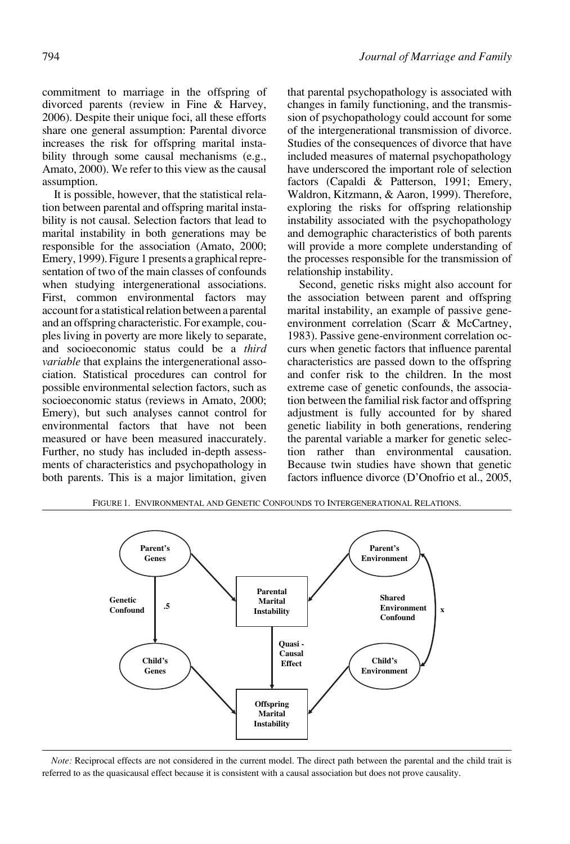commitment to marriage in the offspring of divorced parents (review in Fine & Harvey, 2006). Despite their unique foci, all these efforts share one general assumption: Parental divorce increases the risk for offspring marital instability through some causal mechanisms (e.g., Amato, 2000). We refer to this view as the causal assumption.

It is possible, however, that the statistical relation between parental and offspring marital instability is not causal. Selection factors that lead to marital instability in both generations may be responsible for the association (Amato, 2000; Emery, 1999). Figure 1 presents a graphical representation of two of the main classes of confounds when studying intergenerational associations. First, common environmental factors may account for a statistical relation between a parental and an offspring characteristic. For example, couples living in poverty are more likely to separate, and socioeconomic status could be a third variable that explains the intergenerational association. Statistical procedures can control for possible environmental selection factors, such as socioeconomic status (reviews in Amato, 2000; Emery), but such analyses cannot control for environmental factors that have not been measured or have been measured inaccurately. Further, no study has included in-depth assessments of characteristics and psychopathology in both parents. This is a major limitation, given that parental psychopathology is associated with changes in family functioning, and the transmission of psychopathology could account for some of the intergenerational transmission of divorce. Studies of the consequences of divorce that have included measures of maternal psychopathology have underscored the important role of selection factors (Capaldi & Patterson, 1991; Emery, Waldron, Kitzmann, & Aaron, 1999). Therefore, exploring the risks for offspring relationship instability associated with the psychopathology and demographic characteristics of both parents will provide a more complete understanding of the processes responsible for the transmission of relationship instability.

Second, genetic risks might also account for the association between parent and offspring marital instability, an example of passive geneenvironment correlation (Scarr & McCartney, 1983). Passive gene-environment correlation occurs when genetic factors that influence parental characteristics are passed down to the offspring and confer risk to the children. In the most extreme case of genetic confounds, the association between the familial risk factor and offspring adjustment is fully accounted for by shared genetic liability in both generations, rendering the parental variable a marker for genetic selection rather than environmental causation. Because twin studies have shown that genetic factors influence divorce (D'Onofrio et al., 2005,



FIGURE 1. ENVIRONMENTAL AND GENETIC CONFOUNDS TO INTERGENERATIONAL RELATIONS.

Note: Reciprocal effects are not considered in the current model. The direct path between the parental and the child trait is referred to as the quasicausal effect because it is consistent with a causal association but does not prove causality.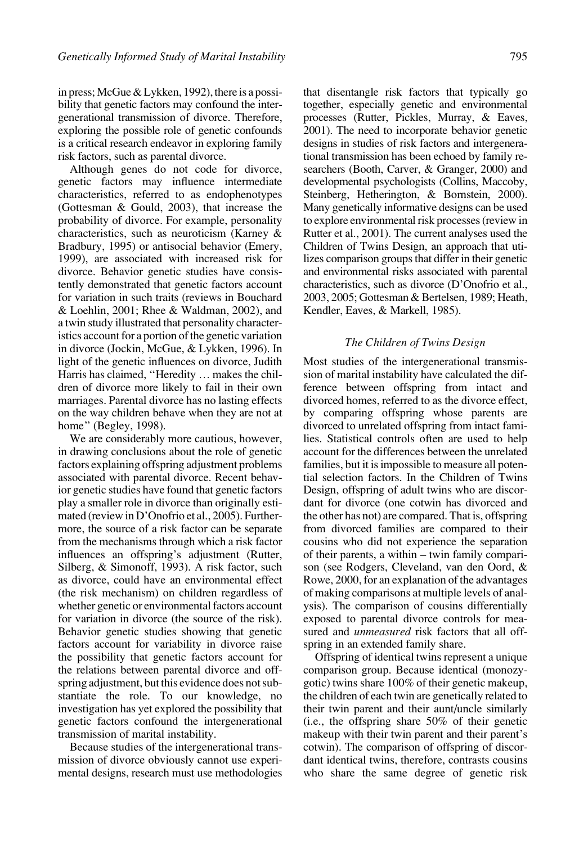in press; McGue  $&$  Lykken, 1992), there is a possibility that genetic factors may confound the intergenerational transmission of divorce. Therefore, exploring the possible role of genetic confounds is a critical research endeavor in exploring family risk factors, such as parental divorce.

Although genes do not code for divorce, genetic factors may influence intermediate characteristics, referred to as endophenotypes (Gottesman & Gould, 2003), that increase the probability of divorce. For example, personality characteristics, such as neuroticism (Karney & Bradbury, 1995) or antisocial behavior (Emery, 1999), are associated with increased risk for divorce. Behavior genetic studies have consistently demonstrated that genetic factors account for variation in such traits (reviews in Bouchard & Loehlin, 2001; Rhee & Waldman, 2002), and a twin study illustrated that personality characteristics account for a portion of the genetic variation in divorce (Jockin, McGue, & Lykken, 1996). In light of the genetic influences on divorce, Judith Harris has claimed, "Heredity ... makes the children of divorce more likely to fail in their own marriages. Parental divorce has no lasting effects on the way children behave when they are not at home'' (Begley, 1998).

We are considerably more cautious, however, in drawing conclusions about the role of genetic factors explaining offspring adjustment problems associated with parental divorce. Recent behavior genetic studies have found that genetic factors play a smaller role in divorce than originally estimated (review in D'Onofrio et al., 2005). Furthermore, the source of a risk factor can be separate from the mechanisms through which a risk factor influences an offspring's adjustment (Rutter, Silberg, & Simonoff, 1993). A risk factor, such as divorce, could have an environmental effect (the risk mechanism) on children regardless of whether genetic or environmental factors account for variation in divorce (the source of the risk). Behavior genetic studies showing that genetic factors account for variability in divorce raise the possibility that genetic factors account for the relations between parental divorce and offspring adjustment, but this evidence does not substantiate the role. To our knowledge, no investigation has yet explored the possibility that genetic factors confound the intergenerational transmission of marital instability.

Because studies of the intergenerational transmission of divorce obviously cannot use experimental designs, research must use methodologies that disentangle risk factors that typically go together, especially genetic and environmental processes (Rutter, Pickles, Murray, & Eaves, 2001). The need to incorporate behavior genetic designs in studies of risk factors and intergenerational transmission has been echoed by family researchers (Booth, Carver, & Granger, 2000) and developmental psychologists (Collins, Maccoby, Steinberg, Hetherington, & Bornstein, 2000). Many genetically informative designs can be used to explore environmental risk processes (review in Rutter et al., 2001). The current analyses used the Children of Twins Design, an approach that utilizes comparison groups that differ in their genetic and environmental risks associated with parental characteristics, such as divorce (D'Onofrio et al., 2003, 2005; Gottesman & Bertelsen, 1989; Heath, Kendler, Eaves, & Markell, 1985).

# The Children of Twins Design

Most studies of the intergenerational transmission of marital instability have calculated the difference between offspring from intact and divorced homes, referred to as the divorce effect, by comparing offspring whose parents are divorced to unrelated offspring from intact families. Statistical controls often are used to help account for the differences between the unrelated families, but it is impossible to measure all potential selection factors. In the Children of Twins Design, offspring of adult twins who are discordant for divorce (one cotwin has divorced and the other has not) are compared. That is, offspring from divorced families are compared to their cousins who did not experience the separation of their parents, a within – twin family comparison (see Rodgers, Cleveland, van den Oord, & Rowe, 2000, for an explanation of the advantages of making comparisons at multiple levels of analysis). The comparison of cousins differentially exposed to parental divorce controls for measured and unmeasured risk factors that all offspring in an extended family share.

Offspring of identical twins represent a unique comparison group. Because identical (monozygotic) twins share 100% of their genetic makeup, the children of each twin are genetically related to their twin parent and their aunt/uncle similarly (i.e., the offspring share 50% of their genetic makeup with their twin parent and their parent's cotwin). The comparison of offspring of discordant identical twins, therefore, contrasts cousins who share the same degree of genetic risk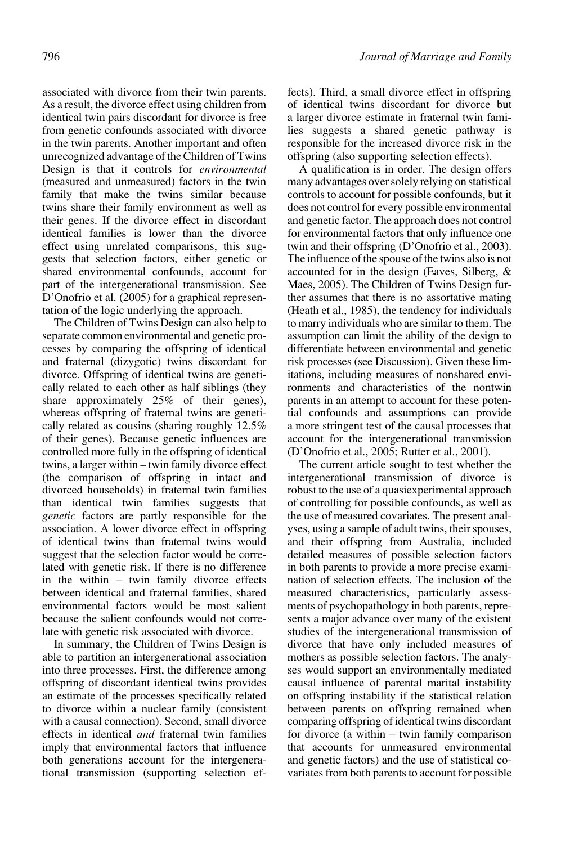associated with divorce from their twin parents. As a result, the divorce effect using children from identical twin pairs discordant for divorce is free from genetic confounds associated with divorce in the twin parents. Another important and often unrecognized advantage of the Children of Twins Design is that it controls for environmental (measured and unmeasured) factors in the twin family that make the twins similar because twins share their family environment as well as their genes. If the divorce effect in discordant identical families is lower than the divorce effect using unrelated comparisons, this suggests that selection factors, either genetic or shared environmental confounds, account for part of the intergenerational transmission. See D'Onofrio et al. (2005) for a graphical representation of the logic underlying the approach.

The Children of Twins Design can also help to separate common environmental and genetic processes by comparing the offspring of identical and fraternal (dizygotic) twins discordant for divorce. Offspring of identical twins are genetically related to each other as half siblings (they share approximately 25% of their genes), whereas offspring of fraternal twins are genetically related as cousins (sharing roughly 12.5% of their genes). Because genetic influences are controlled more fully in the offspring of identical twins, a larger within – twin family divorce effect (the comparison of offspring in intact and divorced households) in fraternal twin families than identical twin families suggests that genetic factors are partly responsible for the association. A lower divorce effect in offspring of identical twins than fraternal twins would suggest that the selection factor would be correlated with genetic risk. If there is no difference in the within – twin family divorce effects between identical and fraternal families, shared environmental factors would be most salient because the salient confounds would not correlate with genetic risk associated with divorce.

In summary, the Children of Twins Design is able to partition an intergenerational association into three processes. First, the difference among offspring of discordant identical twins provides an estimate of the processes specifically related to divorce within a nuclear family (consistent with a causal connection). Second, small divorce effects in identical and fraternal twin families imply that environmental factors that influence both generations account for the intergenerational transmission (supporting selection effects). Third, a small divorce effect in offspring of identical twins discordant for divorce but a larger divorce estimate in fraternal twin families suggests a shared genetic pathway is responsible for the increased divorce risk in the offspring (also supporting selection effects).

A qualification is in order. The design offers many advantages over solely relying on statistical controls to account for possible confounds, but it does not control for every possible environmental and genetic factor. The approach does not control for environmental factors that only influence one twin and their offspring (D'Onofrio et al., 2003). The influence of the spouse of the twins also is not accounted for in the design (Eaves, Silberg, & Maes, 2005). The Children of Twins Design further assumes that there is no assortative mating (Heath et al., 1985), the tendency for individuals to marry individuals who are similar to them. The assumption can limit the ability of the design to differentiate between environmental and genetic risk processes (see Discussion). Given these limitations, including measures of nonshared environments and characteristics of the nontwin parents in an attempt to account for these potential confounds and assumptions can provide a more stringent test of the causal processes that account for the intergenerational transmission (D'Onofrio et al., 2005; Rutter et al., 2001).

The current article sought to test whether the intergenerational transmission of divorce is robust to the use of a quasiexperimental approach of controlling for possible confounds, as well as the use of measured covariates. The present analyses, using a sample of adult twins, their spouses, and their offspring from Australia, included detailed measures of possible selection factors in both parents to provide a more precise examination of selection effects. The inclusion of the measured characteristics, particularly assessments of psychopathology in both parents, represents a major advance over many of the existent studies of the intergenerational transmission of divorce that have only included measures of mothers as possible selection factors. The analyses would support an environmentally mediated causal influence of parental marital instability on offspring instability if the statistical relation between parents on offspring remained when comparing offspring of identical twins discordant for divorce (a within – twin family comparison that accounts for unmeasured environmental and genetic factors) and the use of statistical covariates from both parents to account for possible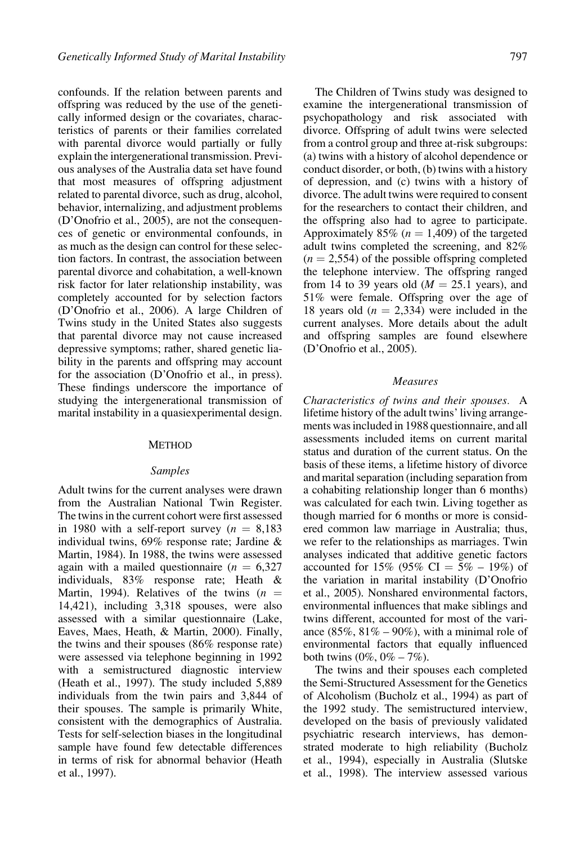confounds. If the relation between parents and offspring was reduced by the use of the genetically informed design or the covariates, characteristics of parents or their families correlated with parental divorce would partially or fully explain the intergenerational transmission. Previous analyses of the Australia data set have found that most measures of offspring adjustment related to parental divorce, such as drug, alcohol, behavior, internalizing, and adjustment problems (D'Onofrio et al., 2005), are not the consequences of genetic or environmental confounds, in as much as the design can control for these selection factors. In contrast, the association between parental divorce and cohabitation, a well-known risk factor for later relationship instability, was completely accounted for by selection factors (D'Onofrio et al., 2006). A large Children of Twins study in the United States also suggests that parental divorce may not cause increased depressive symptoms; rather, shared genetic liability in the parents and offspring may account for the association (D'Onofrio et al., in press). These findings underscore the importance of studying the intergenerational transmission of marital instability in a quasiexperimental design.

#### **METHOD**

#### Samples

Adult twins for the current analyses were drawn from the Australian National Twin Register. The twins in the current cohort were first assessed in 1980 with a self-report survey ( $n = 8,183$ ) individual twins, 69% response rate; Jardine & Martin, 1984). In 1988, the twins were assessed again with a mailed questionnaire ( $n = 6,327$ individuals, 83% response rate; Heath & Martin, 1994). Relatives of the twins  $(n =$ 14,421), including 3,318 spouses, were also assessed with a similar questionnaire (Lake, Eaves, Maes, Heath, & Martin, 2000). Finally, the twins and their spouses (86% response rate) were assessed via telephone beginning in 1992 with a semistructured diagnostic interview (Heath et al., 1997). The study included 5,889 individuals from the twin pairs and 3,844 of their spouses. The sample is primarily White, consistent with the demographics of Australia. Tests for self-selection biases in the longitudinal sample have found few detectable differences in terms of risk for abnormal behavior (Heath et al., 1997).

The Children of Twins study was designed to examine the intergenerational transmission of psychopathology and risk associated with divorce. Offspring of adult twins were selected from a control group and three at-risk subgroups: (a) twins with a history of alcohol dependence or conduct disorder, or both, (b) twins with a history of depression, and (c) twins with a history of divorce. The adult twins were required to consent for the researchers to contact their children, and the offspring also had to agree to participate. Approximately 85% ( $n = 1,409$ ) of the targeted adult twins completed the screening, and 82%  $(n = 2,554)$  of the possible offspring completed the telephone interview. The offspring ranged from 14 to 39 years old  $(M = 25.1$  years), and 51% were female. Offspring over the age of 18 years old  $(n = 2,334)$  were included in the current analyses. More details about the adult and offspring samples are found elsewhere (D'Onofrio et al., 2005).

## Measures

Characteristics of twins and their spouses. A lifetime history of the adult twins' living arrangements was included in 1988 questionnaire, and all assessments included items on current marital status and duration of the current status. On the basis of these items, a lifetime history of divorce and marital separation (including separation from a cohabiting relationship longer than 6 months) was calculated for each twin. Living together as though married for 6 months or more is considered common law marriage in Australia; thus, we refer to the relationships as marriages. Twin analyses indicated that additive genetic factors accounted for 15% (95% CI =  $5% - 19%$ ) of the variation in marital instability (D'Onofrio et al., 2005). Nonshared environmental factors, environmental influences that make siblings and twins different, accounted for most of the variance  $(85\%, 81\% - 90\%)$ , with a minimal role of environmental factors that equally influenced both twins  $(0\%, 0\% - 7\%)$ .

The twins and their spouses each completed the Semi-Structured Assessment for the Genetics of Alcoholism (Bucholz et al., 1994) as part of the 1992 study. The semistructured interview, developed on the basis of previously validated psychiatric research interviews, has demonstrated moderate to high reliability (Bucholz et al., 1994), especially in Australia (Slutske et al., 1998). The interview assessed various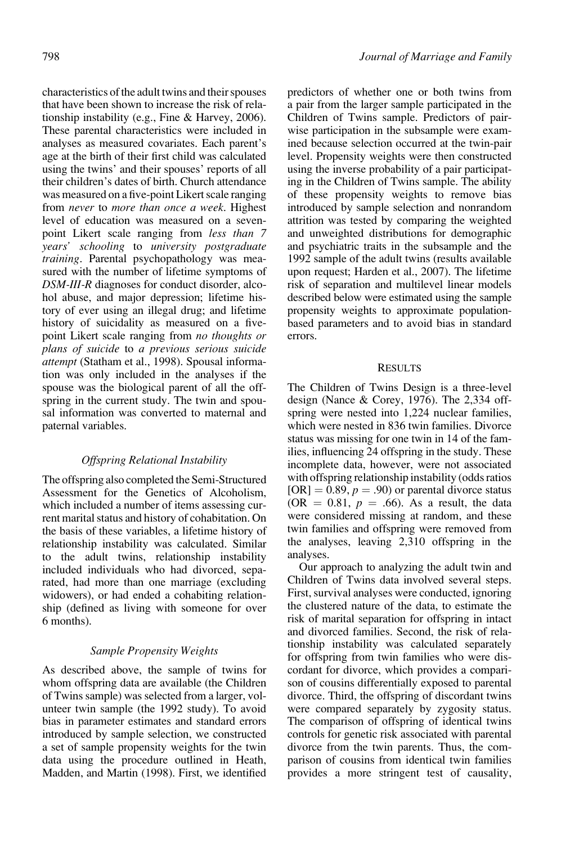characteristics of the adult twins and their spouses that have been shown to increase the risk of relationship instability (e.g., Fine & Harvey, 2006). These parental characteristics were included in analyses as measured covariates. Each parent's age at the birth of their first child was calculated using the twins' and their spouses' reports of all their children's dates of birth. Church attendance was measured on a five-point Likert scale ranging from never to more than once a week. Highest level of education was measured on a sevenpoint Likert scale ranging from less than 7 years' schooling to university postgraduate training. Parental psychopathology was measured with the number of lifetime symptoms of DSM-III-R diagnoses for conduct disorder, alcohol abuse, and major depression; lifetime history of ever using an illegal drug; and lifetime history of suicidality as measured on a fivepoint Likert scale ranging from no thoughts or plans of suicide to a previous serious suicide attempt (Statham et al., 1998). Spousal information was only included in the analyses if the spouse was the biological parent of all the offspring in the current study. The twin and spousal information was converted to maternal and paternal variables.

# Offspring Relational Instability

The offspring also completed the Semi-Structured Assessment for the Genetics of Alcoholism, which included a number of items assessing current marital status and history of cohabitation. On the basis of these variables, a lifetime history of relationship instability was calculated. Similar to the adult twins, relationship instability included individuals who had divorced, separated, had more than one marriage (excluding widowers), or had ended a cohabiting relationship (defined as living with someone for over 6 months).

#### Sample Propensity Weights

As described above, the sample of twins for whom offspring data are available (the Children of Twins sample) was selected from a larger, volunteer twin sample (the 1992 study). To avoid bias in parameter estimates and standard errors introduced by sample selection, we constructed a set of sample propensity weights for the twin data using the procedure outlined in Heath, Madden, and Martin (1998). First, we identified predictors of whether one or both twins from a pair from the larger sample participated in the Children of Twins sample. Predictors of pairwise participation in the subsample were examined because selection occurred at the twin-pair level. Propensity weights were then constructed using the inverse probability of a pair participating in the Children of Twins sample. The ability of these propensity weights to remove bias introduced by sample selection and nonrandom attrition was tested by comparing the weighted and unweighted distributions for demographic and psychiatric traits in the subsample and the 1992 sample of the adult twins (results available upon request; Harden et al., 2007). The lifetime risk of separation and multilevel linear models described below were estimated using the sample propensity weights to approximate populationbased parameters and to avoid bias in standard errors.

#### RESULTS

The Children of Twins Design is a three-level design (Nance & Corey, 1976). The 2,334 offspring were nested into 1,224 nuclear families, which were nested in 836 twin families. Divorce status was missing for one twin in 14 of the families, influencing 24 offspring in the study. These incomplete data, however, were not associated with offspring relationship instability (odds ratios  $[OR] = 0.89, p = .90$  or parental divorce status  $(OR = 0.81, p = .66)$ . As a result, the data were considered missing at random, and these twin families and offspring were removed from the analyses, leaving 2,310 offspring in the analyses.

Our approach to analyzing the adult twin and Children of Twins data involved several steps. First, survival analyses were conducted, ignoring the clustered nature of the data, to estimate the risk of marital separation for offspring in intact and divorced families. Second, the risk of relationship instability was calculated separately for offspring from twin families who were discordant for divorce, which provides a comparison of cousins differentially exposed to parental divorce. Third, the offspring of discordant twins were compared separately by zygosity status. The comparison of offspring of identical twins controls for genetic risk associated with parental divorce from the twin parents. Thus, the comparison of cousins from identical twin families provides a more stringent test of causality,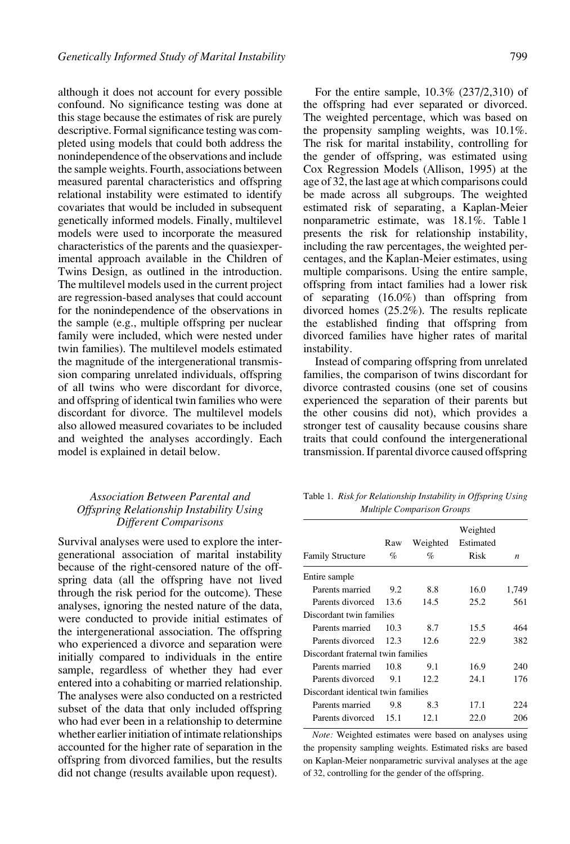although it does not account for every possible confound. No significance testing was done at this stage because the estimates of risk are purely descriptive. Formal significance testing was completed using models that could both address the nonindependence of the observations and include the sample weights. Fourth, associations between measured parental characteristics and offspring relational instability were estimated to identify covariates that would be included in subsequent genetically informed models. Finally, multilevel models were used to incorporate the measured characteristics of the parents and the quasiexperimental approach available in the Children of Twins Design, as outlined in the introduction. The multilevel models used in the current project are regression-based analyses that could account for the nonindependence of the observations in the sample (e.g., multiple offspring per nuclear family were included, which were nested under twin families). The multilevel models estimated the magnitude of the intergenerational transmission comparing unrelated individuals, offspring of all twins who were discordant for divorce, and offspring of identical twin families who were discordant for divorce. The multilevel models also allowed measured covariates to be included and weighted the analyses accordingly. Each model is explained in detail below.

# Association Between Parental and Offspring Relationship Instability Using Different Comparisons

Survival analyses were used to explore the intergenerational association of marital instability because of the right-censored nature of the offspring data (all the offspring have not lived through the risk period for the outcome). These analyses, ignoring the nested nature of the data, were conducted to provide initial estimates of the intergenerational association. The offspring who experienced a divorce and separation were initially compared to individuals in the entire sample, regardless of whether they had ever entered into a cohabiting or married relationship. The analyses were also conducted on a restricted subset of the data that only included offspring who had ever been in a relationship to determine whether earlier initiation of intimate relationships accounted for the higher rate of separation in the offspring from divorced families, but the results did not change (results available upon request).

For the entire sample, 10.3% (237/2,310) of the offspring had ever separated or divorced. The weighted percentage, which was based on the propensity sampling weights, was 10.1%. The risk for marital instability, controlling for the gender of offspring, was estimated using Cox Regression Models (Allison, 1995) at the age of 32, the last age at which comparisons could be made across all subgroups. The weighted estimated risk of separating, a Kaplan-Meier nonparametric estimate, was 18.1%. Table 1 presents the risk for relationship instability, including the raw percentages, the weighted percentages, and the Kaplan-Meier estimates, using multiple comparisons. Using the entire sample, offspring from intact families had a lower risk of separating (16.0%) than offspring from divorced homes (25.2%). The results replicate the established finding that offspring from divorced families have higher rates of marital instability.

Instead of comparing offspring from unrelated families, the comparison of twins discordant for divorce contrasted cousins (one set of cousins experienced the separation of their parents but the other cousins did not), which provides a stronger test of causality because cousins share traits that could confound the intergenerational transmission. If parental divorce caused offspring

Table 1. Risk for Relationship Instability in Offspring Using Multiple Comparison Groups

| <b>Family Structure</b>            | Raw<br>$\%$ | Weighted<br>% | Weighted<br>Estimated<br>Risk | $\boldsymbol{n}$ |
|------------------------------------|-------------|---------------|-------------------------------|------------------|
| Entire sample                      |             |               |                               |                  |
| Parents married                    | 9.2         | 8.8           | 16.0                          | 1,749            |
| Parents divorced                   | 13.6        | 14.5          | 25.2                          | 561              |
| Discordant twin families           |             |               |                               |                  |
| Parents married                    | 10.3        | 8.7           | 15.5                          | 464              |
| Parents divorced                   | 12.3        | 12.6          | 22.9                          | 382              |
| Discordant fraternal twin families |             |               |                               |                  |
| Parents married                    | 10.8        | 9.1           | 16.9                          | 240              |
| Parents divorced                   | 9.1         | 12.2.         | 24.1                          | 176              |
| Discordant identical twin families |             |               |                               |                  |
| Parents married                    | 9.8         | 8.3           | 17.1                          | 224              |
| Parents divorced                   | 15.1        | 12.1          | 22.0                          | 206              |

Note: Weighted estimates were based on analyses using the propensity sampling weights. Estimated risks are based on Kaplan-Meier nonparametric survival analyses at the age of 32, controlling for the gender of the offspring.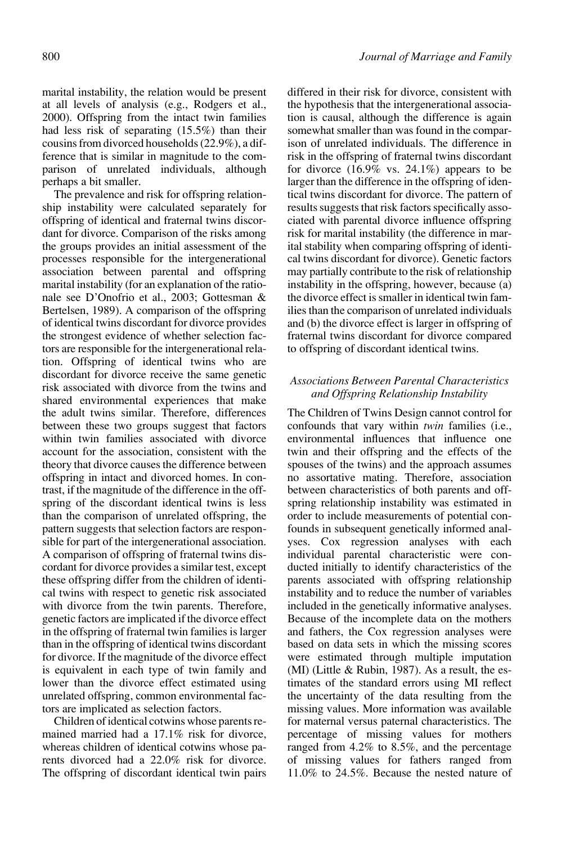marital instability, the relation would be present at all levels of analysis (e.g., Rodgers et al., 2000). Offspring from the intact twin families had less risk of separating (15.5%) than their cousins from divorced households (22.9%), a difference that is similar in magnitude to the comparison of unrelated individuals, although perhaps a bit smaller.

The prevalence and risk for offspring relationship instability were calculated separately for offspring of identical and fraternal twins discordant for divorce. Comparison of the risks among the groups provides an initial assessment of the processes responsible for the intergenerational association between parental and offspring marital instability (for an explanation of the rationale see D'Onofrio et al., 2003; Gottesman & Bertelsen, 1989). A comparison of the offspring of identical twins discordant for divorce provides the strongest evidence of whether selection factors are responsible for the intergenerational relation. Offspring of identical twins who are discordant for divorce receive the same genetic risk associated with divorce from the twins and shared environmental experiences that make the adult twins similar. Therefore, differences between these two groups suggest that factors within twin families associated with divorce account for the association, consistent with the theory that divorce causes the difference between offspring in intact and divorced homes. In contrast, if the magnitude of the difference in the offspring of the discordant identical twins is less than the comparison of unrelated offspring, the pattern suggests that selection factors are responsible for part of the intergenerational association. A comparison of offspring of fraternal twins discordant for divorce provides a similar test, except these offspring differ from the children of identical twins with respect to genetic risk associated with divorce from the twin parents. Therefore, genetic factors are implicated if the divorce effect in the offspring of fraternal twin families is larger than in the offspring of identical twins discordant for divorce. If the magnitude of the divorce effect is equivalent in each type of twin family and lower than the divorce effect estimated using unrelated offspring, common environmental factors are implicated as selection factors.

Children of identical cotwins whose parents remained married had a 17.1% risk for divorce, whereas children of identical cotwins whose parents divorced had a 22.0% risk for divorce. The offspring of discordant identical twin pairs differed in their risk for divorce, consistent with the hypothesis that the intergenerational association is causal, although the difference is again somewhat smaller than was found in the comparison of unrelated individuals. The difference in risk in the offspring of fraternal twins discordant for divorce  $(16.9\% \text{ vs. } 24.1\%)$  appears to be larger than the difference in the offspring of identical twins discordant for divorce. The pattern of results suggests that risk factors specifically associated with parental divorce influence offspring risk for marital instability (the difference in marital stability when comparing offspring of identical twins discordant for divorce). Genetic factors may partially contribute to the risk of relationship instability in the offspring, however, because (a) the divorce effect is smaller in identical twin families than the comparison of unrelated individuals and (b) the divorce effect is larger in offspring of fraternal twins discordant for divorce compared to offspring of discordant identical twins.

## Associations Between Parental Characteristics and Offspring Relationship Instability

The Children of Twins Design cannot control for confounds that vary within twin families (i.e., environmental influences that influence one twin and their offspring and the effects of the spouses of the twins) and the approach assumes no assortative mating. Therefore, association between characteristics of both parents and offspring relationship instability was estimated in order to include measurements of potential confounds in subsequent genetically informed analyses. Cox regression analyses with each individual parental characteristic were conducted initially to identify characteristics of the parents associated with offspring relationship instability and to reduce the number of variables included in the genetically informative analyses. Because of the incomplete data on the mothers and fathers, the Cox regression analyses were based on data sets in which the missing scores were estimated through multiple imputation (MI) (Little & Rubin, 1987). As a result, the estimates of the standard errors using MI reflect the uncertainty of the data resulting from the missing values. More information was available for maternal versus paternal characteristics. The percentage of missing values for mothers ranged from 4.2% to 8.5%, and the percentage of missing values for fathers ranged from 11.0% to 24.5%. Because the nested nature of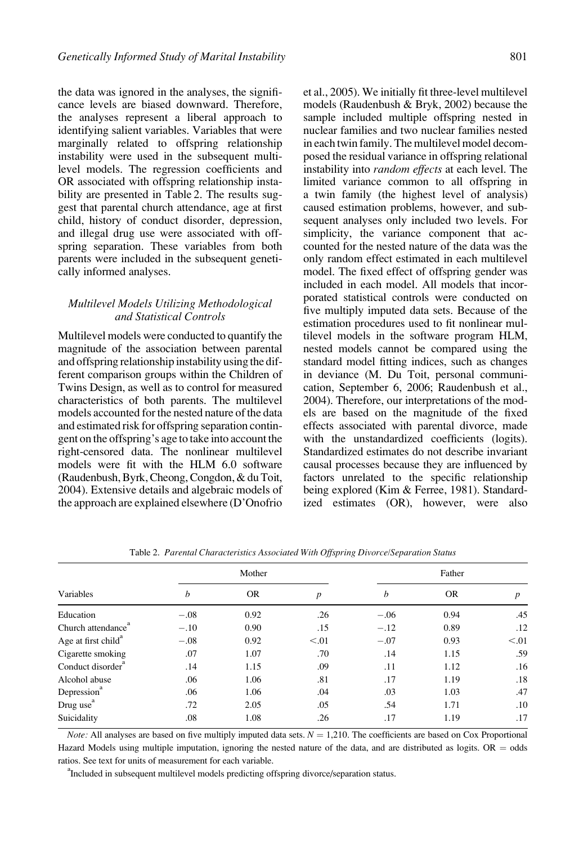the data was ignored in the analyses, the significance levels are biased downward. Therefore, the analyses represent a liberal approach to identifying salient variables. Variables that were marginally related to offspring relationship instability were used in the subsequent multilevel models. The regression coefficients and OR associated with offspring relationship instability are presented in Table 2. The results suggest that parental church attendance, age at first child, history of conduct disorder, depression, and illegal drug use were associated with offspring separation. These variables from both parents were included in the subsequent genetically informed analyses.

# Multilevel Models Utilizing Methodological and Statistical Controls

Multilevel models were conducted to quantify the magnitude of the association between parental and offspring relationship instability using the different comparison groups within the Children of Twins Design, as well as to control for measured characteristics of both parents. The multilevel models accounted for the nested nature of the data and estimated risk for offspring separation contingent on the offspring's age to take into account the right-censored data. The nonlinear multilevel models were fit with the HLM 6.0 software (Raudenbush, Byrk, Cheong, Congdon, & du Toit, 2004). Extensive details and algebraic models of the approach are explained elsewhere (D'Onofrio

et al., 2005). We initially fit three-level multilevel models (Raudenbush & Bryk, 2002) because the sample included multiple offspring nested in nuclear families and two nuclear families nested in each twin family. The multilevel model decomposed the residual variance in offspring relational instability into random effects at each level. The limited variance common to all offspring in a twin family (the highest level of analysis) caused estimation problems, however, and subsequent analyses only included two levels. For simplicity, the variance component that accounted for the nested nature of the data was the only random effect estimated in each multilevel model. The fixed effect of offspring gender was included in each model. All models that incorporated statistical controls were conducted on five multiply imputed data sets. Because of the estimation procedures used to fit nonlinear multilevel models in the software program HLM, nested models cannot be compared using the standard model fitting indices, such as changes in deviance (M. Du Toit, personal communication, September 6, 2006; Raudenbush et al., 2004). Therefore, our interpretations of the models are based on the magnitude of the fixed effects associated with parental divorce, made with the unstandardized coefficients (logits). Standardized estimates do not describe invariant causal processes because they are influenced by factors unrelated to the specific relationship being explored (Kim & Ferree, 1981). Standardized estimates (OR), however, were also

| Variables                       |        | Mother    |        | Father |           |        |  |
|---------------------------------|--------|-----------|--------|--------|-----------|--------|--|
|                                 | b      | <b>OR</b> | p      | b      | <b>OR</b> | p      |  |
| Education                       | $-.08$ | 0.92      | .26    | $-.06$ | 0.94      | .45    |  |
| Church attendance <sup>a</sup>  | $-.10$ | 0.90      | .15    | $-.12$ | 0.89      | .12    |  |
| Age at first child <sup>a</sup> | $-.08$ | 0.92      | < 0.01 | $-.07$ | 0.93      | < 0.01 |  |
| Cigarette smoking               | .07    | 1.07      | .70    | .14    | 1.15      | .59    |  |
| Conduct disorder <sup>a</sup>   | .14    | 1.15      | .09    | .11    | 1.12      | .16    |  |
| Alcohol abuse                   | .06    | 1.06      | .81    | .17    | 1.19      | .18    |  |
| Depression <sup>a</sup>         | .06    | 1.06      | .04    | .03    | 1.03      | .47    |  |
| Drug use <sup>a</sup>           | .72    | 2.05      | .05    | .54    | 1.71      | .10    |  |
| Suicidality                     | .08    | 1.08      | .26    | .17    | 1.19      | .17    |  |

Table 2. Parental Characteristics Associated With Offspring Divorce/Separation Status

*Note:* All analyses are based on five multiply imputed data sets.  $N = 1,210$ . The coefficients are based on Cox Proportional Hazard Models using multiple imputation, ignoring the nested nature of the data, and are distributed as logits. OR = odds ratios. See text for units of measurement for each variable.

<sup>a</sup>Included in subsequent multilevel models predicting offspring divorce/separation status.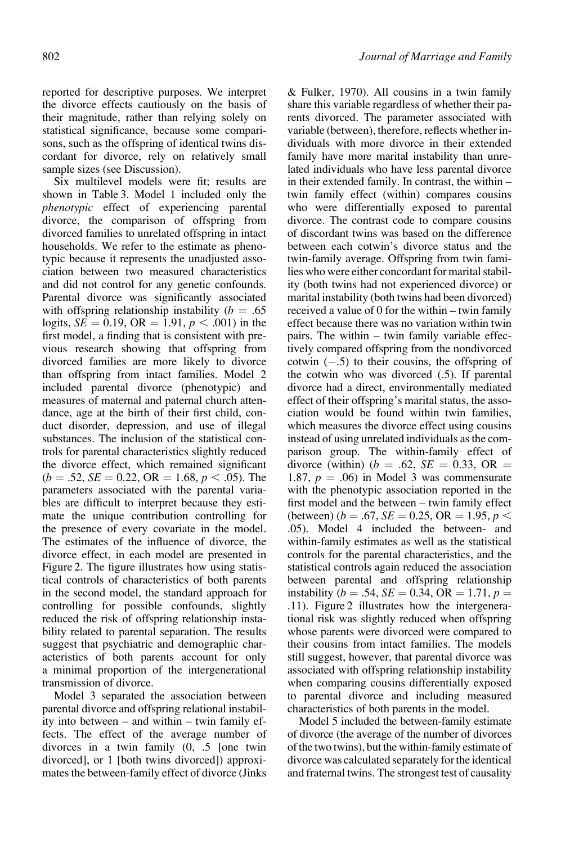reported for descriptive purposes. We interpret the divorce effects cautiously on the basis of their magnitude, rather than relying solely on statistical significance, because some comparisons, such as the offspring of identical twins discordant for divorce, rely on relatively small sample sizes (see Discussion).

Six multilevel models were fit; results are shown in Table 3. Model 1 included only the phenotypic effect of experiencing parental divorce, the comparison of offspring from divorced families to unrelated offspring in intact households. We refer to the estimate as phenotypic because it represents the unadjusted association between two measured characteristics and did not control for any genetic confounds. Parental divorce was significantly associated with offspring relationship instability ( $b = .65$ logits,  $SE = 0.19$ ,  $OR = 1.91$ ,  $p < .001$ ) in the first model, a finding that is consistent with previous research showing that offspring from divorced families are more likely to divorce than offspring from intact families. Model 2 included parental divorce (phenotypic) and measures of maternal and paternal church attendance, age at the birth of their first child, conduct disorder, depression, and use of illegal substances. The inclusion of the statistical controls for parental characteristics slightly reduced the divorce effect, which remained significant  $(b = .52, SE = 0.22, OR = 1.68, p < .05)$ . The parameters associated with the parental variables are difficult to interpret because they estimate the unique contribution controlling for the presence of every covariate in the model. The estimates of the influence of divorce, the divorce effect, in each model are presented in Figure 2. The figure illustrates how using statistical controls of characteristics of both parents in the second model, the standard approach for controlling for possible confounds, slightly reduced the risk of offspring relationship instability related to parental separation. The results suggest that psychiatric and demographic characteristics of both parents account for only a minimal proportion of the intergenerational transmission of divorce.

Model 3 separated the association between parental divorce and offspring relational instability into between – and within – twin family effects. The effect of the average number of divorces in a twin family (0, .5 [one twin divorced], or 1 [both twins divorced]) approximates the between-family effect of divorce (Jinks

& Fulker, 1970). All cousins in a twin family share this variable regardless of whether their parents divorced. The parameter associated with variable (between), therefore, reflects whether individuals with more divorce in their extended family have more marital instability than unrelated individuals who have less parental divorce in their extended family. In contrast, the within – twin family effect (within) compares cousins who were differentially exposed to parental divorce. The contrast code to compare cousins of discordant twins was based on the difference between each cotwin's divorce status and the twin-family average. Offspring from twin families who were either concordant for marital stability (both twins had not experienced divorce) or marital instability (both twins had been divorced) received a value of 0 for the within – twin family effect because there was no variation within twin pairs. The within – twin family variable effectively compared offspring from the nondivorced cotwin  $(-.5)$  to their cousins, the offspring of the cotwin who was divorced (.5). If parental divorce had a direct, environmentally mediated effect of their offspring's marital status, the association would be found within twin families, which measures the divorce effect using cousins instead of using unrelated individuals as the comparison group. The within-family effect of divorce (within) ( $b = .62$ ,  $SE = 0.33$ , OR = 1.87,  $p = .06$ ) in Model 3 was commensurate with the phenotypic association reported in the first model and the between – twin family effect (between) ( $b = .67$ ,  $SE = 0.25$ ,  $OR = 1.95$ ,  $p <$ .05). Model 4 included the between- and within-family estimates as well as the statistical controls for the parental characteristics, and the statistical controls again reduced the association between parental and offspring relationship instability ( $b = .54$ ,  $SE = 0.34$ ,  $OR = 1.71$ ,  $p =$ .11). Figure 2 illustrates how the intergenerational risk was slightly reduced when offspring whose parents were divorced were compared to their cousins from intact families. The models still suggest, however, that parental divorce was associated with offspring relationship instability when comparing cousins differentially exposed to parental divorce and including measured characteristics of both parents in the model.

Model 5 included the between-family estimate of divorce (the average of the number of divorces of the two twins), but the within-family estimate of divorce was calculated separately for the identical and fraternal twins. The strongest test of causality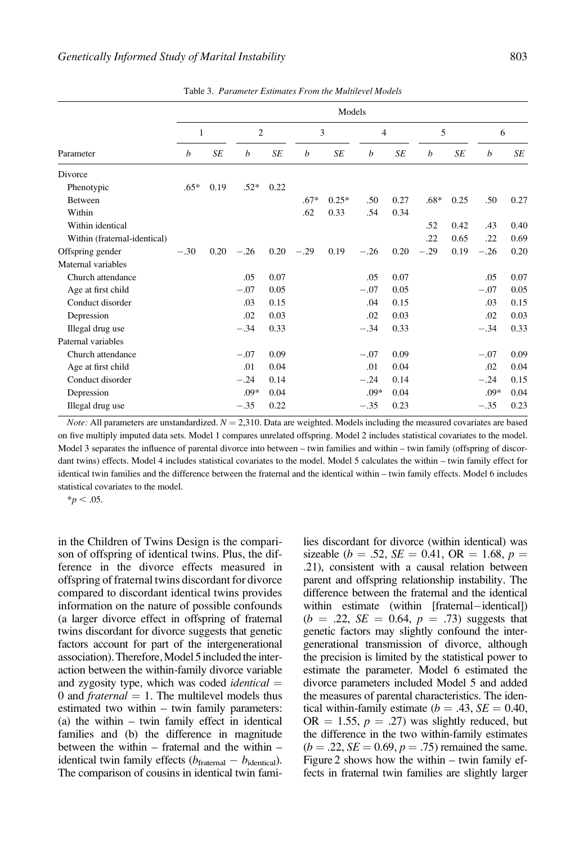| Parameter                    | Models       |           |                |           |        |           |        |           |        |           |        |      |
|------------------------------|--------------|-----------|----------------|-----------|--------|-----------|--------|-----------|--------|-----------|--------|------|
|                              | $\mathbf{1}$ |           | $\overline{c}$ |           | 3      |           | 4      |           | 5      |           | 6      |      |
|                              | b            | <b>SE</b> | b              | <b>SE</b> | b      | <b>SE</b> | b      | <b>SE</b> | b      | <b>SE</b> | b      | SE   |
| Divorce                      |              |           |                |           |        |           |        |           |        |           |        |      |
| Phenotypic                   | $.65*$       | 0.19      | $.52*$         | 0.22      |        |           |        |           |        |           |        |      |
| <b>Between</b>               |              |           |                |           | $.67*$ | $0.25*$   | .50    | 0.27      | $.68*$ | 0.25      | .50    | 0.27 |
| Within                       |              |           |                |           | .62    | 0.33      | .54    | 0.34      |        |           |        |      |
| Within identical             |              |           |                |           |        |           |        |           | .52    | 0.42      | .43    | 0.40 |
| Within (fraternal-identical) |              |           |                |           |        |           |        |           | .22    | 0.65      | .22    | 0.69 |
| Offspring gender             | $-.30$       | 0.20      | $-.26$         | 0.20      | $-.29$ | 0.19      | $-.26$ | 0.20      | $-.29$ | 0.19      | $-.26$ | 0.20 |
| Maternal variables           |              |           |                |           |        |           |        |           |        |           |        |      |
| Church attendance            |              |           | .05            | 0.07      |        |           | .05    | 0.07      |        |           | .05    | 0.07 |
| Age at first child           |              |           | $-.07$         | 0.05      |        |           | $-.07$ | 0.05      |        |           | $-.07$ | 0.05 |
| Conduct disorder             |              |           | .03            | 0.15      |        |           | .04    | 0.15      |        |           | .03    | 0.15 |
| Depression                   |              |           | .02            | 0.03      |        |           | .02    | 0.03      |        |           | .02    | 0.03 |
| Illegal drug use             |              |           | $-.34$         | 0.33      |        |           | $-.34$ | 0.33      |        |           | $-.34$ | 0.33 |
| Paternal variables           |              |           |                |           |        |           |        |           |        |           |        |      |
| Church attendance            |              |           | $-.07$         | 0.09      |        |           | $-.07$ | 0.09      |        |           | $-.07$ | 0.09 |
| Age at first child           |              |           | .01            | 0.04      |        |           | .01    | 0.04      |        |           | .02    | 0.04 |
| Conduct disorder             |              |           | $-.24$         | 0.14      |        |           | $-.24$ | 0.14      |        |           | $-.24$ | 0.15 |
| Depression                   |              |           | $.09*$         | 0.04      |        |           | $.09*$ | 0.04      |        |           | $.09*$ | 0.04 |
| Illegal drug use             |              |           | $-.35$         | 0.22      |        |           | $-.35$ | 0.23      |        |           | $-.35$ | 0.23 |

Table 3. Parameter Estimates From the Multilevel Models

*Note:* All parameters are unstandardized.  $N = 2,310$ . Data are weighted. Models including the measured covariates are based on five multiply imputed data sets. Model 1 compares unrelated offspring. Model 2 includes statistical covariates to the model. Model 3 separates the influence of parental divorce into between – twin families and within – twin family (offspring of discordant twins) effects. Model 4 includes statistical covariates to the model. Model 5 calculates the within – twin family effect for identical twin families and the difference between the fraternal and the identical within – twin family effects. Model 6 includes statistical covariates to the model.

 $*_{p} < .05.$ 

in the Children of Twins Design is the comparison of offspring of identical twins. Plus, the difference in the divorce effects measured in offspring of fraternal twins discordant for divorce compared to discordant identical twins provides information on the nature of possible confounds (a larger divorce effect in offspring of fraternal twins discordant for divorce suggests that genetic factors account for part of the intergenerational association). Therefore, Model 5 included the interaction between the within-family divorce variable and zygosity type, which was coded *identical*  $=$ 0 and  $fraternal = 1$ . The multilevel models thus estimated two within – twin family parameters: (a) the within – twin family effect in identical families and (b) the difference in magnitude between the within – fraternal and the within – identical twin family effects ( $b_{\text{fraternal}} - b_{\text{identical}}$ ). The comparison of cousins in identical twin families discordant for divorce (within identical) was sizeable ( $b = .52$ ,  $SE = 0.41$ ,  $OR = 1.68$ ,  $p =$ .21), consistent with a causal relation between parent and offspring relationship instability. The difference between the fraternal and the identical within estimate (within [fraternal-identical])  $(b = .22, SE = 0.64, p = .73)$  suggests that genetic factors may slightly confound the intergenerational transmission of divorce, although the precision is limited by the statistical power to estimate the parameter. Model 6 estimated the divorce parameters included Model 5 and added the measures of parental characteristics. The identical within-family estimate ( $b = .43$ ,  $SE = 0.40$ , OR = 1.55,  $p = .27$ ) was slightly reduced, but the difference in the two within-family estimates  $(b = .22, SE = 0.69, p = .75)$  remained the same. Figure 2 shows how the within – twin family effects in fraternal twin families are slightly larger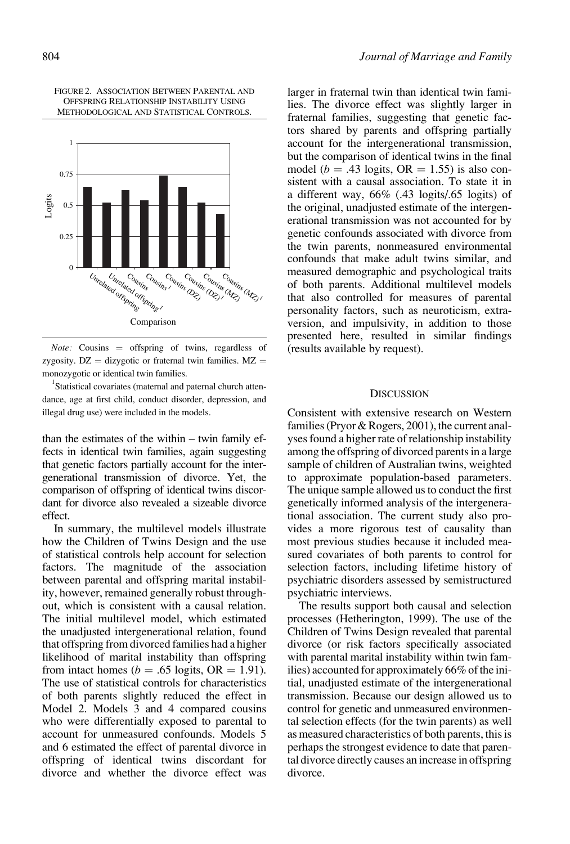FIGURE 2. ASSOCIATION BETWEEN PARENTAL AND OFFSPRING RELATIONSHIP INSTABILITY USING METHODOLOGICAL AND STATISTICAL CONTROLS.



*Note:* Cousins  $=$  offspring of twins, regardless of zygosity. DZ = dizygotic or fraternal twin families.  $MZ =$ monozygotic or identical twin families. <sup>1</sup>

<sup>1</sup>Statistical covariates (maternal and paternal church attendance, age at first child, conduct disorder, depression, and illegal drug use) were included in the models.

than the estimates of the within – twin family effects in identical twin families, again suggesting that genetic factors partially account for the intergenerational transmission of divorce. Yet, the comparison of offspring of identical twins discordant for divorce also revealed a sizeable divorce effect.

In summary, the multilevel models illustrate how the Children of Twins Design and the use of statistical controls help account for selection factors. The magnitude of the association between parental and offspring marital instability, however, remained generally robust throughout, which is consistent with a causal relation. The initial multilevel model, which estimated the unadjusted intergenerational relation, found that offspring from divorced families had a higher likelihood of marital instability than offspring from intact homes ( $b = .65$  logits, OR = 1.91). The use of statistical controls for characteristics of both parents slightly reduced the effect in Model 2. Models 3 and 4 compared cousins who were differentially exposed to parental to account for unmeasured confounds. Models 5 and 6 estimated the effect of parental divorce in offspring of identical twins discordant for divorce and whether the divorce effect was

larger in fraternal twin than identical twin families. The divorce effect was slightly larger in fraternal families, suggesting that genetic factors shared by parents and offspring partially account for the intergenerational transmission, but the comparison of identical twins in the final model ( $b = .43$  logits, OR = 1.55) is also consistent with a causal association. To state it in a different way, 66% (.43 logits/.65 logits) of the original, unadjusted estimate of the intergenerational transmission was not accounted for by genetic confounds associated with divorce from the twin parents, nonmeasured environmental confounds that make adult twins similar, and measured demographic and psychological traits of both parents. Additional multilevel models that also controlled for measures of parental personality factors, such as neuroticism, extraversion, and impulsivity, in addition to those presented here, resulted in similar findings (results available by request).

#### **DISCUSSION**

Consistent with extensive research on Western families (Pryor & Rogers, 2001), the current analyses found a higher rate of relationship instability among the offspring of divorced parents in a large sample of children of Australian twins, weighted to approximate population-based parameters. The unique sample allowed us to conduct the first genetically informed analysis of the intergenerational association. The current study also provides a more rigorous test of causality than most previous studies because it included measured covariates of both parents to control for selection factors, including lifetime history of psychiatric disorders assessed by semistructured psychiatric interviews.

The results support both causal and selection processes (Hetherington, 1999). The use of the Children of Twins Design revealed that parental divorce (or risk factors specifically associated with parental marital instability within twin families) accounted for approximately 66% of the initial, unadjusted estimate of the intergenerational transmission. Because our design allowed us to control for genetic and unmeasured environmental selection effects (for the twin parents) as well as measured characteristics of both parents, this is perhaps the strongest evidence to date that parental divorce directly causes an increase in offspring divorce.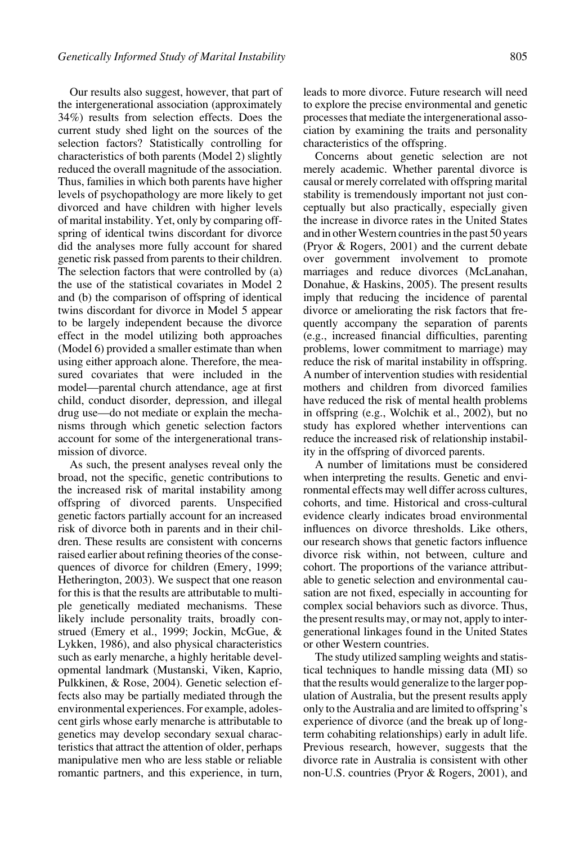Our results also suggest, however, that part of the intergenerational association (approximately 34%) results from selection effects. Does the current study shed light on the sources of the selection factors? Statistically controlling for characteristics of both parents (Model 2) slightly reduced the overall magnitude of the association. Thus, families in which both parents have higher levels of psychopathology are more likely to get divorced and have children with higher levels of marital instability. Yet, only by comparing offspring of identical twins discordant for divorce did the analyses more fully account for shared genetic risk passed from parents to their children. The selection factors that were controlled by (a) the use of the statistical covariates in Model 2 and (b) the comparison of offspring of identical twins discordant for divorce in Model 5 appear to be largely independent because the divorce effect in the model utilizing both approaches (Model 6) provided a smaller estimate than when using either approach alone. Therefore, the measured covariates that were included in the model—parental church attendance, age at first child, conduct disorder, depression, and illegal drug use—do not mediate or explain the mechanisms through which genetic selection factors account for some of the intergenerational transmission of divorce.

As such, the present analyses reveal only the broad, not the specific, genetic contributions to the increased risk of marital instability among offspring of divorced parents. Unspecified genetic factors partially account for an increased risk of divorce both in parents and in their children. These results are consistent with concerns raised earlier about refining theories of the consequences of divorce for children (Emery, 1999; Hetherington, 2003). We suspect that one reason for this is that the results are attributable to multiple genetically mediated mechanisms. These likely include personality traits, broadly construed (Emery et al., 1999; Jockin, McGue, & Lykken, 1986), and also physical characteristics such as early menarche, a highly heritable developmental landmark (Mustanski, Viken, Kaprio, Pulkkinen, & Rose, 2004). Genetic selection effects also may be partially mediated through the environmental experiences. For example, adolescent girls whose early menarche is attributable to genetics may develop secondary sexual characteristics that attract the attention of older, perhaps manipulative men who are less stable or reliable romantic partners, and this experience, in turn, leads to more divorce. Future research will need to explore the precise environmental and genetic processes that mediate the intergenerational association by examining the traits and personality characteristics of the offspring.

Concerns about genetic selection are not merely academic. Whether parental divorce is causal or merely correlated with offspring marital stability is tremendously important not just conceptually but also practically, especially given the increase in divorce rates in the United States and in other Western countries in the past 50 years (Pryor & Rogers, 2001) and the current debate over government involvement to promote marriages and reduce divorces (McLanahan, Donahue, & Haskins, 2005). The present results imply that reducing the incidence of parental divorce or ameliorating the risk factors that frequently accompany the separation of parents (e.g., increased financial difficulties, parenting problems, lower commitment to marriage) may reduce the risk of marital instability in offspring. A number of intervention studies with residential mothers and children from divorced families have reduced the risk of mental health problems in offspring (e.g., Wolchik et al., 2002), but no study has explored whether interventions can reduce the increased risk of relationship instability in the offspring of divorced parents.

A number of limitations must be considered when interpreting the results. Genetic and environmental effects may well differ across cultures, cohorts, and time. Historical and cross-cultural evidence clearly indicates broad environmental influences on divorce thresholds. Like others, our research shows that genetic factors influence divorce risk within, not between, culture and cohort. The proportions of the variance attributable to genetic selection and environmental causation are not fixed, especially in accounting for complex social behaviors such as divorce. Thus, the present results may, or may not, apply to intergenerational linkages found in the United States or other Western countries.

The study utilized sampling weights and statistical techniques to handle missing data (MI) so that the results would generalize to the larger population of Australia, but the present results apply only to the Australia and are limited to offspring's experience of divorce (and the break up of longterm cohabiting relationships) early in adult life. Previous research, however, suggests that the divorce rate in Australia is consistent with other non-U.S. countries (Pryor & Rogers, 2001), and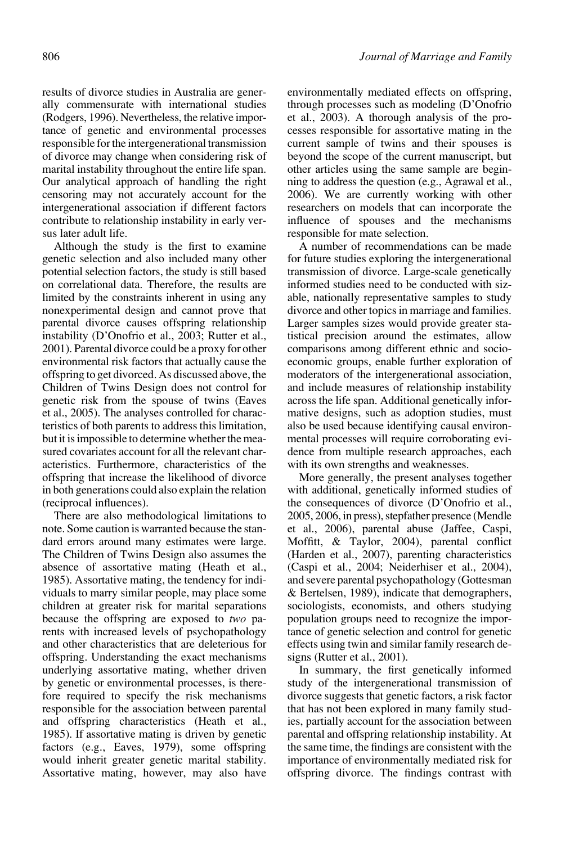results of divorce studies in Australia are generally commensurate with international studies (Rodgers, 1996). Nevertheless, the relative importance of genetic and environmental processes responsible for the intergenerational transmission of divorce may change when considering risk of marital instability throughout the entire life span. Our analytical approach of handling the right censoring may not accurately account for the intergenerational association if different factors contribute to relationship instability in early versus later adult life.

Although the study is the first to examine genetic selection and also included many other potential selection factors, the study is still based on correlational data. Therefore, the results are limited by the constraints inherent in using any nonexperimental design and cannot prove that parental divorce causes offspring relationship instability (D'Onofrio et al., 2003; Rutter et al., 2001). Parental divorce could be a proxy for other environmental risk factors that actually cause the offspring to get divorced. As discussed above, the Children of Twins Design does not control for genetic risk from the spouse of twins (Eaves et al., 2005). The analyses controlled for characteristics of both parents to address this limitation, but it is impossible to determine whether the measured covariates account for all the relevant characteristics. Furthermore, characteristics of the offspring that increase the likelihood of divorce in both generations could also explain the relation (reciprocal influences).

There are also methodological limitations to note. Some caution is warranted because the standard errors around many estimates were large. The Children of Twins Design also assumes the absence of assortative mating (Heath et al., 1985). Assortative mating, the tendency for individuals to marry similar people, may place some children at greater risk for marital separations because the offspring are exposed to two parents with increased levels of psychopathology and other characteristics that are deleterious for offspring. Understanding the exact mechanisms underlying assortative mating, whether driven by genetic or environmental processes, is therefore required to specify the risk mechanisms responsible for the association between parental and offspring characteristics (Heath et al., 1985). If assortative mating is driven by genetic factors (e.g., Eaves, 1979), some offspring would inherit greater genetic marital stability. Assortative mating, however, may also have environmentally mediated effects on offspring, through processes such as modeling (D'Onofrio et al., 2003). A thorough analysis of the processes responsible for assortative mating in the current sample of twins and their spouses is beyond the scope of the current manuscript, but other articles using the same sample are beginning to address the question (e.g., Agrawal et al., 2006). We are currently working with other researchers on models that can incorporate the influence of spouses and the mechanisms responsible for mate selection.

A number of recommendations can be made for future studies exploring the intergenerational transmission of divorce. Large-scale genetically informed studies need to be conducted with sizable, nationally representative samples to study divorce and other topics in marriage and families. Larger samples sizes would provide greater statistical precision around the estimates, allow comparisons among different ethnic and socioeconomic groups, enable further exploration of moderators of the intergenerational association, and include measures of relationship instability across the life span. Additional genetically informative designs, such as adoption studies, must also be used because identifying causal environmental processes will require corroborating evidence from multiple research approaches, each with its own strengths and weaknesses.

More generally, the present analyses together with additional, genetically informed studies of the consequences of divorce (D'Onofrio et al., 2005, 2006, in press), stepfather presence (Mendle et al., 2006), parental abuse (Jaffee, Caspi, Moffitt, & Taylor, 2004), parental conflict (Harden et al., 2007), parenting characteristics (Caspi et al., 2004; Neiderhiser et al., 2004), and severe parental psychopathology (Gottesman & Bertelsen, 1989), indicate that demographers, sociologists, economists, and others studying population groups need to recognize the importance of genetic selection and control for genetic effects using twin and similar family research designs (Rutter et al., 2001).

In summary, the first genetically informed study of the intergenerational transmission of divorce suggests that genetic factors, a risk factor that has not been explored in many family studies, partially account for the association between parental and offspring relationship instability. At the same time, the findings are consistent with the importance of environmentally mediated risk for offspring divorce. The findings contrast with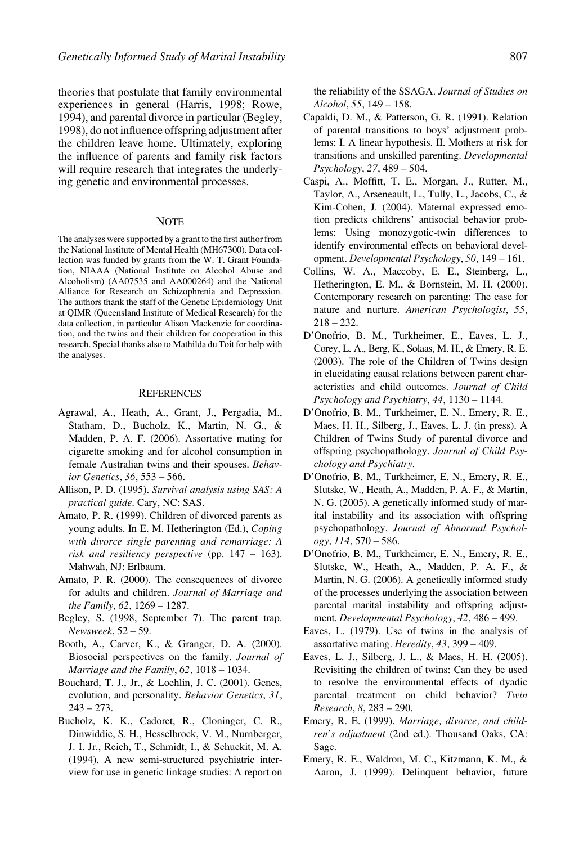theories that postulate that family environmental experiences in general (Harris, 1998; Rowe, 1994), and parental divorce in particular (Begley, 1998), do not influence offspring adjustment after the children leave home. Ultimately, exploring the influence of parents and family risk factors will require research that integrates the underlying genetic and environmental processes.

#### **NOTE**

The analyses were supported by a grant to the first author from the National Institute of Mental Health (MH67300). Data collection was funded by grants from the W. T. Grant Foundation, NIAAA (National Institute on Alcohol Abuse and Alcoholism) (AA07535 and AA000264) and the National Alliance for Research on Schizophrenia and Depression. The authors thank the staff of the Genetic Epidemiology Unit at QIMR (Queensland Institute of Medical Research) for the data collection, in particular Alison Mackenzie for coordination, and the twins and their children for cooperation in this research. Special thanks also to Mathilda du Toit for help with the analyses.

#### **REFERENCES**

- Agrawal, A., Heath, A., Grant, J., Pergadia, M., Statham, D., Bucholz, K., Martin, N. G., & Madden, P. A. F. (2006). Assortative mating for cigarette smoking and for alcohol consumption in female Australian twins and their spouses. Behavior Genetics, 36, 553 – 566.
- Allison, P. D. (1995). Survival analysis using SAS: A practical guide. Cary, NC: SAS.
- Amato, P. R. (1999). Children of divorced parents as young adults. In E. M. Hetherington (Ed.), Coping with divorce single parenting and remarriage: A risk and resiliency perspective (pp. 147 – 163). Mahwah, NJ: Erlbaum.
- Amato, P. R. (2000). The consequences of divorce for adults and children. Journal of Marriage and the Family, 62, 1269 – 1287.
- Begley, S. (1998, September 7). The parent trap. Newsweek, 52 – 59.
- Booth, A., Carver, K., & Granger, D. A. (2000). Biosocial perspectives on the family. Journal of Marriage and the Family, 62, 1018 - 1034.
- Bouchard, T. J., Jr., & Loehlin, J. C. (2001). Genes, evolution, and personality. Behavior Genetics, 31,  $243 - 273.$
- Bucholz, K. K., Cadoret, R., Cloninger, C. R., Dinwiddie, S. H., Hesselbrock, V. M., Nurnberger, J. I. Jr., Reich, T., Schmidt, I., & Schuckit, M. A. (1994). A new semi-structured psychiatric interview for use in genetic linkage studies: A report on

the reliability of the SSAGA. Journal of Studies on Alcohol, 55, 149 – 158.

- Capaldi, D. M., & Patterson, G. R. (1991). Relation of parental transitions to boys' adjustment problems: I. A linear hypothesis. II. Mothers at risk for transitions and unskilled parenting. Developmental Psychology, 27, 489 – 504.
- Caspi, A., Moffitt, T. E., Morgan, J., Rutter, M., Taylor, A., Arseneault, L., Tully, L., Jacobs, C., & Kim-Cohen, J. (2004). Maternal expressed emotion predicts childrens' antisocial behavior problems: Using monozygotic-twin differences to identify environmental effects on behavioral development. Developmental Psychology, 50, 149 – 161.
- Collins, W. A., Maccoby, E. E., Steinberg, L., Hetherington, E. M., & Bornstein, M. H. (2000). Contemporary research on parenting: The case for nature and nurture. American Psychologist, 55,  $218 - 232.$
- D'Onofrio, B. M., Turkheimer, E., Eaves, L. J., Corey, L. A., Berg, K., Solaas, M. H., & Emery, R. E. (2003). The role of the Children of Twins design in elucidating causal relations between parent characteristics and child outcomes. Journal of Child Psychology and Psychiatry, 44, 1130 – 1144.
- D'Onofrio, B. M., Turkheimer, E. N., Emery, R. E., Maes, H. H., Silberg, J., Eaves, L. J. (in press). A Children of Twins Study of parental divorce and offspring psychopathology. Journal of Child Psychology and Psychiatry.
- D'Onofrio, B. M., Turkheimer, E. N., Emery, R. E., Slutske, W., Heath, A., Madden, P. A. F., & Martin, N. G. (2005). A genetically informed study of marital instability and its association with offspring psychopathology. Journal of Abnormal Psychology, 114, 570 – 586.
- D'Onofrio, B. M., Turkheimer, E. N., Emery, R. E., Slutske, W., Heath, A., Madden, P. A. F., & Martin, N. G. (2006). A genetically informed study of the processes underlying the association between parental marital instability and offspring adjustment. Developmental Psychology, 42, 486 – 499.
- Eaves, L. (1979). Use of twins in the analysis of assortative mating. Heredity, 43, 399 – 409.
- Eaves, L. J., Silberg, J. L., & Maes, H. H. (2005). Revisiting the children of twins: Can they be used to resolve the environmental effects of dyadic parental treatment on child behavior? Twin Research, 8, 283 – 290.
- Emery, R. E. (1999). Marriage, divorce, and children's adjustment (2nd ed.). Thousand Oaks, CA: Sage.
- Emery, R. E., Waldron, M. C., Kitzmann, K. M., & Aaron, J. (1999). Delinquent behavior, future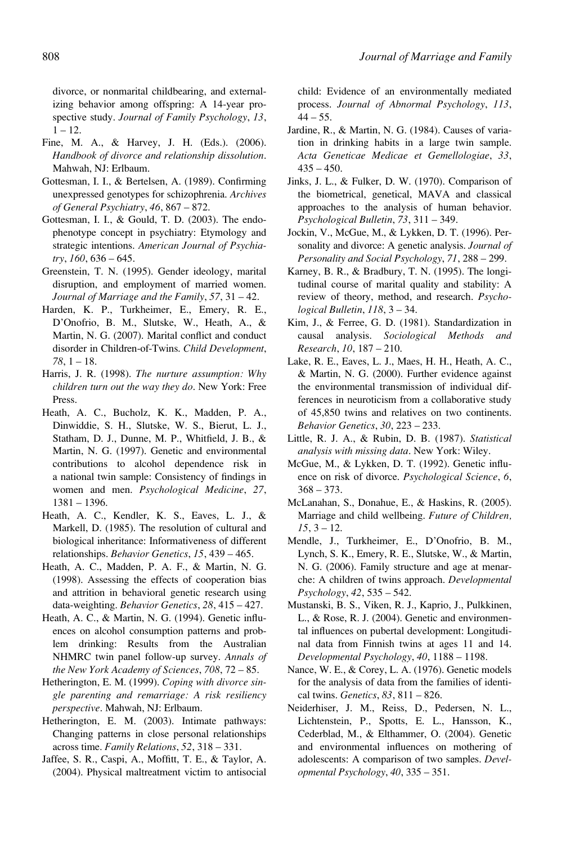divorce, or nonmarital childbearing, and externalizing behavior among offspring: A 14-year prospective study. Journal of Family Psychology, 13,  $1 - 12$ .

- Fine, M. A., & Harvey, J. H. (Eds.). (2006). Handbook of divorce and relationship dissolution. Mahwah, NJ: Erlbaum.
- Gottesman, I. I., & Bertelsen, A. (1989). Confirming unexpressed genotypes for schizophrenia. Archives of General Psychiatry, 46, 867 – 872.
- Gottesman, I. I., & Gould, T. D. (2003). The endophenotype concept in psychiatry: Etymology and strategic intentions. American Journal of Psychiatry, 160, 636 – 645.
- Greenstein, T. N. (1995). Gender ideology, marital disruption, and employment of married women. Journal of Marriage and the Family, 57, 31 – 42.
- Harden, K. P., Turkheimer, E., Emery, R. E., D'Onofrio, B. M., Slutske, W., Heath, A., & Martin, N. G. (2007). Marital conflict and conduct disorder in Children-of-Twins. Child Development,  $78, 1 - 18.$
- Harris, J. R. (1998). The nurture assumption: Why children turn out the way they do. New York: Free Press.
- Heath, A. C., Bucholz, K. K., Madden, P. A., Dinwiddie, S. H., Slutske, W. S., Bierut, L. J., Statham, D. J., Dunne, M. P., Whitfield, J. B., & Martin, N. G. (1997). Genetic and environmental contributions to alcohol dependence risk in a national twin sample: Consistency of findings in women and men. Psychological Medicine, 27, 1381 – 1396.
- Heath, A. C., Kendler, K. S., Eaves, L. J., & Markell, D. (1985). The resolution of cultural and biological inheritance: Informativeness of different relationships. Behavior Genetics, 15, 439 – 465.
- Heath, A. C., Madden, P. A. F., & Martin, N. G. (1998). Assessing the effects of cooperation bias and attrition in behavioral genetic research using data-weighting. Behavior Genetics, 28, 415 – 427.
- Heath, A. C., & Martin, N. G. (1994). Genetic influences on alcohol consumption patterns and problem drinking: Results from the Australian NHMRC twin panel follow-up survey. Annals of the New York Academy of Sciences, 708, 72 – 85.
- Hetherington, E. M. (1999). Coping with divorce single parenting and remarriage: A risk resiliency perspective. Mahwah, NJ: Erlbaum.
- Hetherington, E. M. (2003). Intimate pathways: Changing patterns in close personal relationships across time. Family Relations, 52, 318 – 331.
- Jaffee, S. R., Caspi, A., Moffitt, T. E., & Taylor, A. (2004). Physical maltreatment victim to antisocial

child: Evidence of an environmentally mediated process. Journal of Abnormal Psychology, 113,  $44 - 55$ .

- Jardine, R., & Martin, N. G. (1984). Causes of variation in drinking habits in a large twin sample. Acta Geneticae Medicae et Gemellologiae, 33,  $435 - 450.$
- Jinks, J. L., & Fulker, D. W. (1970). Comparison of the biometrical, genetical, MAVA and classical approaches to the analysis of human behavior. Psychological Bulletin, 73, 311 – 349.
- Jockin, V., McGue, M., & Lykken, D. T. (1996). Personality and divorce: A genetic analysis. Journal of Personality and Social Psychology, 71, 288 – 299.
- Karney, B. R., & Bradbury, T. N. (1995). The longitudinal course of marital quality and stability: A review of theory, method, and research. Psychological Bulletin, 118, 3 – 34.
- Kim, J., & Ferree, G. D. (1981). Standardization in causal analysis. Sociological Methods and Research, 10, 187 – 210.
- Lake, R. E., Eaves, L. J., Maes, H. H., Heath, A. C., & Martin, N. G. (2000). Further evidence against the environmental transmission of individual differences in neuroticism from a collaborative study of 45,850 twins and relatives on two continents. Behavior Genetics, 30, 223 – 233.
- Little, R. J. A., & Rubin, D. B. (1987). Statistical analysis with missing data. New York: Wiley.
- McGue, M., & Lykken, D. T. (1992). Genetic influence on risk of divorce. Psychological Science, 6,  $368 - 373.$
- McLanahan, S., Donahue, E., & Haskins, R. (2005). Marriage and child wellbeing. Future of Children,  $15, 3 - 12.$
- Mendle, J., Turkheimer, E., D'Onofrio, B. M., Lynch, S. K., Emery, R. E., Slutske, W., & Martin, N. G. (2006). Family structure and age at menarche: A children of twins approach. Developmental Psychology, 42, 535 – 542.
- Mustanski, B. S., Viken, R. J., Kaprio, J., Pulkkinen, L., & Rose, R. J. (2004). Genetic and environmental influences on pubertal development: Longitudinal data from Finnish twins at ages 11 and 14. Developmental Psychology, 40, 1188 – 1198.
- Nance, W. E., & Corey, L. A. (1976). Genetic models for the analysis of data from the families of identical twins. Genetics, 83, 811 – 826.
- Neiderhiser, J. M., Reiss, D., Pedersen, N. L., Lichtenstein, P., Spotts, E. L., Hansson, K., Cederblad, M., & Elthammer, O. (2004). Genetic and environmental influences on mothering of adolescents: A comparison of two samples. Developmental Psychology, 40, 335 – 351.